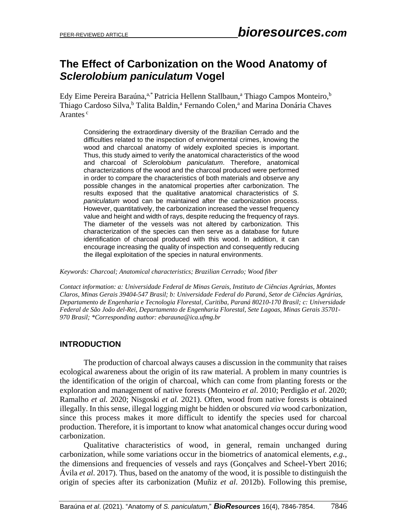# **The Effect of Carbonization on the Wood Anatomy of**  *Sclerolobium paniculatum* **Vogel**

Edy Eime Pereira Baraúna,<sup>a,\*</sup> Patricia Hellenn Stallbaun,<sup>a</sup> Thiago Campos Monteiro,<sup>b</sup> Thiago Cardoso Silva,<sup>b</sup> Talita Baldin,<sup>a</sup> Fernando Colen,<sup>a</sup> and Marina Donária Chaves Arantes<sup>c</sup>

Considering the extraordinary diversity of the Brazilian Cerrado and the difficulties related to the inspection of environmental crimes, knowing the wood and charcoal anatomy of widely exploited species is important. Thus, this study aimed to verify the anatomical characteristics of the wood and charcoal of *Sclerolobium paniculatum*. Therefore, anatomical characterizations of the wood and the charcoal produced were performed in order to compare the characteristics of both materials and observe any possible changes in the anatomical properties after carbonization. The results exposed that the qualitative anatomical characteristics of *S. paniculatum* wood can be maintained after the carbonization process. However, quantitatively, the carbonization increased the vessel frequency value and height and width of rays, despite reducing the frequency of rays. The diameter of the vessels was not altered by carbonization. This characterization of the species can then serve as a database for future identification of charcoal produced with this wood. In addition, it can encourage increasing the quality of inspection and consequently reducing the illegal exploitation of the species in natural environments.

*Keywords: Charcoal; Anatomical characteristics; Brazilian Cerrado; Wood fiber*

*Contact information: a: Universidade Federal de Minas Gerais, Instituto de Ciências Agrárias, Montes Claros, Minas Gerais 39404-547 Brasil; b: Universidade Federal do Paraná, Setor de Ciências Agrárias, Departamento de Engenharia e Tecnologia Florestal, Curitiba, Paraná 80210-170 Brasil; c: Universidade Federal de São João del-Rei, Departamento de Engenharia Florestal, Sete Lagoas, Minas Gerais 35701- 970 Brasil; \*Corresponding author: ebarauna@ica.ufmg.br*

## **INTRODUCTION**

The production of charcoal always causes a discussion in the community that raises ecological awareness about the origin of its raw material. A problem in many countries is the identification of the origin of charcoal, which can come from planting forests or the exploration and management of native forests (Monteiro *et al*. 2010; Perdigão *et al*. 2020; Ramalho *et al.* 2020; Nisgoski *et al.* 2021). Often, wood from native forests is obtained illegally. In this sense, illegal logging might be hidden or obscured *via* wood carbonization, since this process makes it more difficult to identify the species used for charcoal production. Therefore, it is important to know what anatomical changes occur during wood carbonization.

Qualitative characteristics of wood, in general, remain unchanged during carbonization, while some variations occur in the biometrics of anatomical elements, *e.g.*, the dimensions and frequencies of vessels and rays (Gonçalves and Scheel-Ybert 2016; Ávila *et al*. 2017). Thus, based on the anatomy of the wood, it is possible to distinguish the origin of species after its carbonization (Muñiz *et al*. 2012b). Following this premise,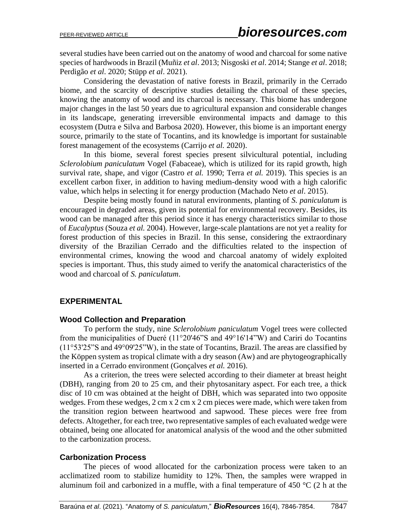several studies have been carried out on the anatomy of wood and charcoal for some native species of hardwoods in Brazil (Muñiz *et al*. 2013; Nisgoski *et al*. 2014; Stange *et al*. 2018; Perdigão *et al*. 2020; Stüpp *et al*. 2021).

Considering the devastation of native forests in Brazil, primarily in the Cerrado biome, and the scarcity of descriptive studies detailing the charcoal of these species, knowing the anatomy of wood and its charcoal is necessary. This biome has undergone major changes in the last 50 years due to agricultural expansion and considerable changes in its landscape, generating irreversible environmental impacts and damage to this ecosystem (Dutra e Silva and Barbosa 2020). However, this biome is an important energy source, primarily to the state of Tocantins, and its knowledge is important for sustainable forest management of the ecosystems (Carrijo *et al.* 2020).

In this biome, several forest species present silvicultural potential, including *Sclerolobium paniculatum* Vogel (Fabaceae), which is utilized for its rapid growth, high survival rate, shape, and vigor (Castro *et al.* 1990; Terra *et al.* 2019). This species is an excellent carbon fixer, in addition to having medium-density wood with a high calorific value, which helps in selecting it for energy production (Machado Neto *et al*. 2015).

Despite being mostly found in natural environments, planting of *S. paniculatum* is encouraged in degraded areas, given its potential for environmental recovery. Besides, its wood can be managed after this period since it has energy characteristics similar to those of *Eucalyptus* (Souza *et al.* 2004). However, large-scale plantations are not yet a reality for forest production of this species in Brazil. In this sense, considering the extraordinary diversity of the Brazilian Cerrado and the difficulties related to the inspection of environmental crimes, knowing the wood and charcoal anatomy of widely exploited species is important. Thus, this study aimed to verify the anatomical characteristics of the wood and charcoal of *S. paniculatum*.

#### **EXPERIMENTAL**

#### **Wood Collection and Preparation**

To perform the study, nine *Sclerolobium paniculatum* Vogel trees were collected from the municipalities of Dueré (11°20'46"S and 49°16'14"W) and Cariri do Tocantins (11°53'25"S and 49°09'25"W), in the state of Tocantins, Brazil. The areas are classified by the Köppen system as tropical climate with a dry season (Aw) and are phytogeographically inserted in a Cerrado environment (Gonçalves *et al.* 2016).

As a criterion, the trees were selected according to their diameter at breast height (DBH), ranging from 20 to 25 cm, and their phytosanitary aspect. For each tree, a thick disc of 10 cm was obtained at the height of DBH, which was separated into two opposite wedges. From these wedges, 2 cm x 2 cm x 2 cm pieces were made, which were taken from the transition region between heartwood and sapwood. These pieces were free from defects. Altogether, for each tree, two representative samples of each evaluated wedge were obtained, being one allocated for anatomical analysis of the wood and the other submitted to the carbonization process.

#### **Carbonization Process**

The pieces of wood allocated for the carbonization process were taken to an acclimatized room to stabilize humidity to 12%. Then, the samples were wrapped in aluminum foil and carbonized in a muffle, with a final temperature of 450  $^{\circ}$ C (2 h at the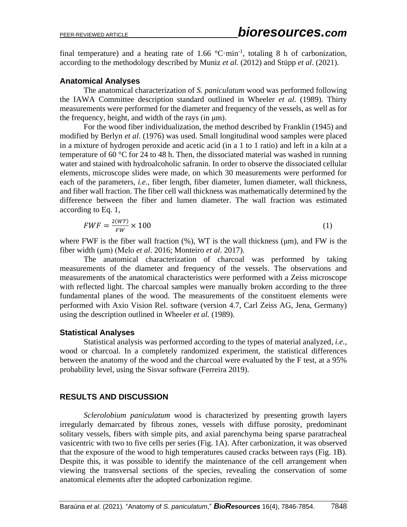final temperature) and a heating rate of 1.66  $^{\circ}$ C·min<sup>-1</sup>, totaling 8 h of carbonization, according to the methodology described by Muniz *et al.* (2012) and Stüpp *et al*. (2021).

### **Anatomical Analyses**

The anatomical characterization of *S. paniculatum* wood was performed following the IAWA Committee description standard outlined in Wheeler *et al*. (1989). Thirty measurements were performed for the diameter and frequency of the vessels, as well as for the frequency, height, and width of the rays (in μm).

For the wood fiber individualization, the method described by Franklin (1945) and modified by Berlyn *et al*. (1976) was used. Small longitudinal wood samples were placed in a mixture of hydrogen peroxide and acetic acid (in a 1 to 1 ratio) and left in a kiln at a temperature of 60 °C for 24 to 48 h. Then, the dissociated material was washed in running water and stained with hydroalcoholic safranin. In order to observe the dissociated cellular elements, microscope slides were made, on which 30 measurements were performed for each of the parameters, *i.e.*, fiber length, fiber diameter, lumen diameter, wall thickness, and fiber wall fraction. The fiber cell wall thickness was mathematically determined by the difference between the fiber and lumen diameter. The wall fraction was estimated according to Eq. 1,

$$
FWF = \frac{2(WT)}{FW} \times 100\tag{1}
$$

where FWF is the fiber wall fraction  $(\%)$ , WT is the wall thickness  $(\mu m)$ , and FW is the fiber width (μm) (Melo *et al*. 2016; Monteiro *et al*. 2017).

The anatomical characterization of charcoal was performed by taking measurements of the diameter and frequency of the vessels. The observations and measurements of the anatomical characteristics were performed with a Zeiss microscope with reflected light. The charcoal samples were manually broken according to the three fundamental planes of the wood. The measurements of the constituent elements were performed with Axio Vision Rel. software (version 4.7, Carl Zeiss AG, Jena, Germany) using the description outlined in Wheeler *et al.* (1989).

## **Statistical Analyses**

Statistical analysis was performed according to the types of material analyzed, *i.e.*, wood or charcoal. In a completely randomized experiment, the statistical differences between the anatomy of the wood and the charcoal were evaluated by the F test, at a 95% probability level, using the Sisvar software (Ferreira 2019).

## **RESULTS AND DISCUSSION**

*Sclerolobium paniculatum* wood is characterized by presenting growth layers irregularly demarcated by fibrous zones, vessels with diffuse porosity, predominant solitary vessels, fibers with simple pits, and axial parenchyma being sparse paratracheal vasicentric with two to five cells per series (Fig. 1A). After carbonization, it was observed that the exposure of the wood to high temperatures caused cracks between rays (Fig. 1B). Despite this, it was possible to identify the maintenance of the cell arrangement when viewing the transversal sections of the species, revealing the conservation of some anatomical elements after the adopted carbonization regime.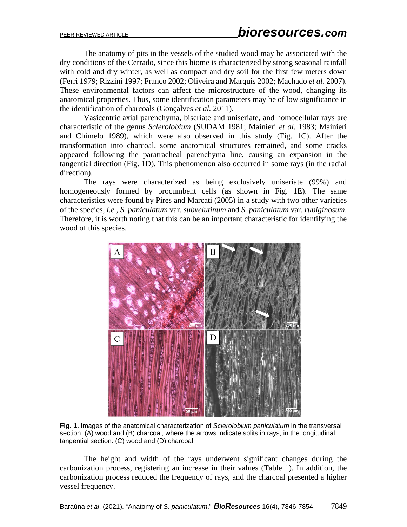The anatomy of pits in the vessels of the studied wood may be associated with the dry conditions of the Cerrado, since this biome is characterized by strong seasonal rainfall with cold and dry winter, as well as compact and dry soil for the first few meters down (Ferri 1979; Rizzini 1997; Franco 2002; Oliveira and Marquis 2002; Machado *et al.* 2007). These environmental factors can affect the microstructure of the wood, changing its anatomical properties. Thus, some identification parameters may be of low significance in the identification of charcoals (Gonçalves *et al.* 2011).

Vasicentric axial parenchyma, biseriate and uniseriate, and homocellular rays are characteristic of the genus *Sclerolobium* (SUDAM 1981; Mainieri *et al.* 1983; Mainieri and Chimelo 1989), which were also observed in this study (Fig. 1C). After the transformation into charcoal, some anatomical structures remained, and some cracks appeared following the paratracheal parenchyma line, causing an expansion in the tangential direction (Fig. 1D). This phenomenon also occurred in some rays (in the radial direction).

The rays were characterized as being exclusively uniseriate (99%) and homogeneously formed by procumbent cells (as shown in Fig. 1E). The same characteristics were found by Pires and Marcati (2005) in a study with two other varieties of the species, *i.e.*, *S. paniculatum* var. *subvelutinum* and *S. paniculatum* var. *rubiginosum*. Therefore, it is worth noting that this can be an important characteristic for identifying the wood of this species.



**Fig. 1.** Images of the anatomical characterization of *Sclerolobium paniculatum* in the transversal section: (A) wood and (B) charcoal, where the arrows indicate splits in rays; in the longitudinal tangential section: (C) wood and (D) charcoal

The height and width of the rays underwent significant changes during the carbonization process, registering an increase in their values (Table 1). In addition, the carbonization process reduced the frequency of rays, and the charcoal presented a higher vessel frequency.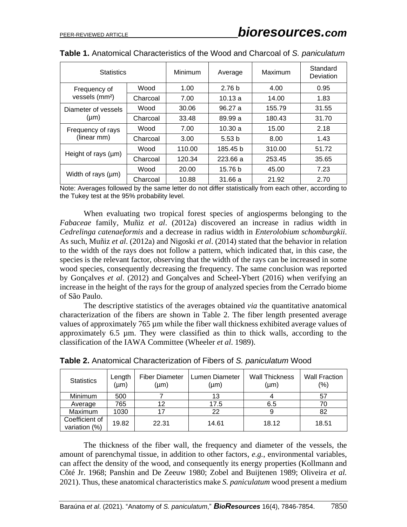| <b>Statistics</b>                          |          | Minimum | Average           | Maximum | Standard<br>Deviation |
|--------------------------------------------|----------|---------|-------------------|---------|-----------------------|
| Frequency of<br>vessels (mm <sup>2</sup> ) | Wood     | 1.00    | 2.76 <sub>b</sub> | 4.00    | 0.95                  |
|                                            | Charcoal | 7.00    | 10.13a            | 14.00   | 1.83                  |
| Diameter of vessels<br>$(\mu m)$           | Wood     | 30.06   | 96.27 a           | 155.79  | 31.55                 |
|                                            | Charcoal | 33.48   | 89.99 a           | 180.43  | 31.70                 |
| Frequency of rays<br>(linear mm)           | Wood     | 7.00    | 10.30a            | 15.00   | 2.18                  |
|                                            | Charcoal | 3.00    | 5.53 <sub>b</sub> | 8.00    | 1.43                  |
| Height of rays (µm)                        | Wood     | 110.00  | 185.45 b          | 310.00  | 51.72                 |
|                                            | Charcoal | 120.34  | 223.66 a          | 253.45  | 35.65                 |
| Width of rays (µm)                         | Wood     | 20.00   | 15.76 b           | 45.00   | 7.23                  |
|                                            | Charcoal | 10.88   | 31.66a            | 21.92   | 2.70                  |

|  | <b>Table 1.</b> Anatomical Characteristics of the Wood and Charcoal of S. paniculatum |  |  |  |  |
|--|---------------------------------------------------------------------------------------|--|--|--|--|
|--|---------------------------------------------------------------------------------------|--|--|--|--|

Note: Averages followed by the same letter do not differ statistically from each other, according to the Tukey test at the 95% probability level.

When evaluating two tropical forest species of angiosperms belonging to the *Fabaceae* family, Muñiz *et al*. (2012a) discovered an increase in radius width in *Cedrelinga catenaeformis* and a decrease in radius width in *Enterolobium schomburgkii*. As such, Muñiz *et al*. (2012a) and Nigoski *et al*. (2014) stated that the behavior in relation to the width of the rays does not follow a pattern, which indicated that, in this case, the species is the relevant factor, observing that the width of the rays can be increased in some wood species, consequently decreasing the frequency. The same conclusion was reported by Gonçalves *et al*. (2012) and Gonçalves and Scheel-Ybert (2016) when verifying an increase in the height of the rays for the group of analyzed species from the Cerrado biome of São Paulo.

The descriptive statistics of the averages obtained *via* the quantitative anatomical characterization of the fibers are shown in Table 2. The fiber length presented average values of approximately 765 µm while the fiber wall thickness exhibited average values of approximately 6.5 µm. They were classified as thin to thick walls, according to the classification of the IAWA Committee (Wheeler *et al*. 1989).

| <b>Statistics</b>               | Length<br>(µm) | <b>Fiber Diameter</b><br>(µm) | Lumen Diameter<br>$(\mu m)$ | <b>Wall Thickness</b><br>(µm) | <b>Wall Fraction</b><br>$(\% )$ |
|---------------------------------|----------------|-------------------------------|-----------------------------|-------------------------------|---------------------------------|
| Minimum                         | 500            |                               | 13                          |                               | 57                              |
| Average                         | 765            | 12                            | 17.5                        | 6.5                           | 70                              |
| Maximum                         | 1030           | 17                            | 22                          |                               | 82                              |
| Coefficient of<br>variation (%) | 19.82          | 22.31                         | 14.61                       | 18.12                         | 18.51                           |

**Table 2.** Anatomical Characterization of Fibers of *S. paniculatum* Wood

The thickness of the fiber wall, the frequency and diameter of the vessels, the amount of parenchymal tissue, in addition to other factors, *e.g.*, environmental variables, can affect the density of the wood, and consequently its energy properties (Kollmann and Côté Jr. 1968; Panshin and De Zeeuw 1980; Zobel and Buijtenen 1989; Oliveira *et al.* 2021). Thus, these anatomical characteristics make *S. paniculatum* wood present a medium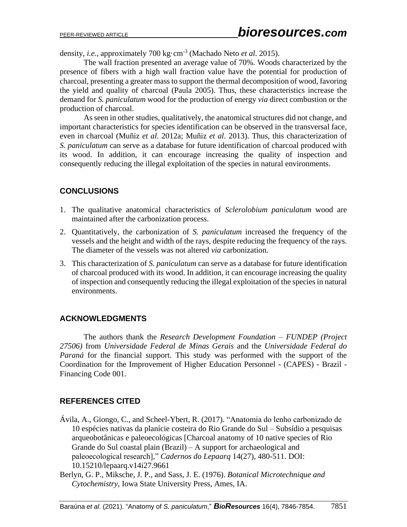density, *i.e.*, approximately 700 kg·cm-3 (Machado Neto *et al*. 2015).

The wall fraction presented an average value of 70%. Woods characterized by the presence of fibers with a high wall fraction value have the potential for production of charcoal, presenting a greater mass to support the thermal decomposition of wood, favoring the yield and quality of charcoal (Paula 2005). Thus, these characteristics increase the demand for *S. paniculatum* wood for the production of energy *via* direct combustion or the production of charcoal.

As seen in other studies, qualitatively, the anatomical structures did not change, and important characteristics for species identification can be observed in the transversal face, even in charcoal (Muñiz *et al*. 2012a; Muñiz *et al*. 2013). Thus, this characterization of *S. paniculatum* can serve as a database for future identification of charcoal produced with its wood. In addition, it can encourage increasing the quality of inspection and consequently reducing the illegal exploitation of the species in natural environments.

# **CONCLUSIONS**

- 1. The qualitative anatomical characteristics of *Sclerolobium paniculatum* wood are maintained after the carbonization process.
- 2. Quantitatively, the carbonization of *S. paniculatum* increased the frequency of the vessels and the height and width of the rays, despite reducing the frequency of the rays. The diameter of the vessels was not altered *via* carbonization.
- 3. This characterization of *S. paniculatum* can serve as a database for future identification of charcoal produced with its wood. In addition, it can encourage increasing the quality of inspection and consequently reducing the illegal exploitation of the species in natural environments.

# **ACKNOWLEDGMENTS**

The authors thank the *Research Development Foundation – FUNDEP (Project 27506)* from *Universidade Federal de Minas Gerais* and the *Universidade Federal do Paraná* for the financial support. This study was performed with the support of the Coordination for the Improvement of Higher Education Personnel - (CAPES) - Brazil - Financing Code 001.

# **REFERENCES CITED**

- Ávila, A., Giongo, C., and Scheel-Ybert, R. (2017). "Anatomia do lenho carbonizado de 10 espécies nativas da planície costeira do Rio Grande do Sul – Subsídio a pesquisas arqueobotânicas e paleoecológicas [Charcoal anatomy of 10 native species of Rio Grande do Sul coastal plain (Brazil) – A support for archaeological and paleoecological research]," *Cadernos do Lepaarq* 14(27), 480-511. DOI: 10.15210/lepaarq.v14i27.9661
- Berlyn, G. P., Miksche, J. P., and Sass, J. E. (1976). *Botanical Microtechnique and Cytochemistry*, Iowa State University Press, Ames, IA.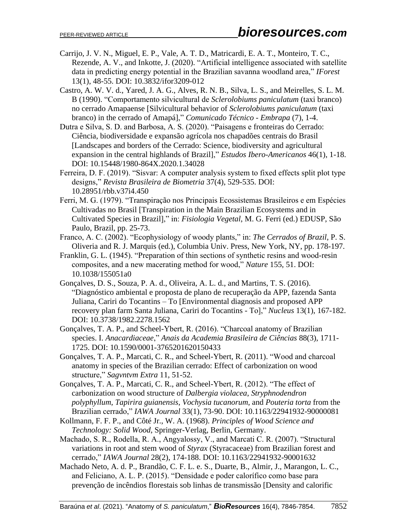- Carrijo, J. V. N., Miguel, E. P., Vale, A. T. D., Matricardi, E. A. T., Monteiro, T. C., Rezende, A. V., and Inkotte, J. (2020). "Artificial intelligence associated with satellite data in predicting energy potential in the Brazilian savanna woodland area," *IForest* 13(1), 48-55. DOI: 10.3832/ifor3209-012
- Castro, A. W. V. d., Yared, J. A. G., Alves, R. N. B., Silva, L. S., and Meirelles, S. L. M. B (1990). "Comportamento silvicultural de *Sclerolobiums paniculatum* (taxi branco) no cerrado Amapaense [Silvicultural behavior of *Sclerolobiums paniculatum* (taxi branco) in the cerrado of Amapá]," *Comunicado Técnico - Embrapa* (7), 1-4.
- Dutra e Silva, S. D. and Barbosa, A. S. (2020). "Paisagens e fronteiras do Cerrado: Ciência, biodiversidade e expansão agrícola nos chapadões centrais do Brasil [Landscapes and borders of the Cerrado: Science, biodiversity and agricultural expansion in the central highlands of Brazil]," *Estudos Ibero-Americanos* 46(1), 1-18. DOI: 10.15448/1980-864X.2020.1.34028
- Ferreira, D. F. (2019). "Sisvar: A computer analysis system to fixed effects split plot type designs," *Revista Brasileira de Biometria* 37(4), 529-535. DOI: 10.28951/rbb.v37i4.450
- Ferri, M. G. (1979). "Transpiração nos Principais Ecossistemas Brasileiros e em Espécies Cultivadas no Brasil [Transpiration in the Main Brazilian Ecosystems and in Cultivated Species in Brazil]," in: *Fisiologia Vegetal*, M. G. Ferri (ed.) EDUSP, São Paulo, Brazil, pp. 25-73.
- Franco, A. C. (2002). "Ecophysiology of woody plants," in: *The Cerrados of Brazil*, P. S. Oliveria and R. J. Marquis (ed.), Columbia Univ. Press, New York, NY, pp. 178-197.
- Franklin, G. L. (1945). "Preparation of thin sections of synthetic resins and wood-resin composites, and a new macerating method for wood," *Nature* 155, 51. DOI: 10.1038/155051a0
- Gonçalves, D. S., Souza, P. A. d., Oliveira, A. L. d., and Martins, T. S. (2016). "Diagnóstico ambiental e proposta de plano de recuperação da APP, fazenda Santa Juliana, Cariri do Tocantins – To [Environmental diagnosis and proposed APP recovery plan farm Santa Juliana, Cariri do Tocantins - To]," *Nucleus* 13(1), 167-182. DOI: 10.3738/1982.2278.1562
- Gonçalves, T. A. P., and Scheel-Ybert, R. (2016). "Charcoal anatomy of Brazilian species. I. *Anacardiaceae*," *Anais da Academia Brasileira de Ciências* 88(3), 1711- 1725. DOI: 10.1590/0001-3765201620150433
- Gonçalves, T. A. P., Marcati, C. R., and Scheel-Ybert, R. (2011). "Wood and charcoal anatomy in species of the Brazilian cerrado: Effect of carbonization on wood structure," *Sagvntvm Extra* 11, 51-52.
- Gonçalves, T. A. P., Marcati, C. R., and Scheel-Ybert, R. (2012). "The effect of carbonization on wood structure of *Dalbergia violacea*, *Stryphnodendron polyphyllum*, *Tapirira guianensis*, *Vochysia tucanorum*, and *Pouteria torta* from the Brazilian cerrado," *IAWA Journal* 33(1), 73-90. DOI: 10.1163/22941932-90000081
- Kollmann, F. F. P., and Côté Jr., W. A. (1968). *Principles of Wood Science and Technology: Solid Wood*, Springer-Verlag, Berlin, Germany.
- Machado, S. R., Rodella, R. A., Angyalossy, V., and Marcati C. R. (2007). "Structural variations in root and stem wood of *Styrax* (Styracaceae) from Brazilian forest and cerrado," *IAWA Journal* 28(2), 174-188. DOI: 10.1163/22941932-90001632
- Machado Neto, A. d. P., Brandão, C. F. L. e. S., Duarte, B., Almir, J., Marangon, L. C., and Feliciano, A. L. P. (2015). "Densidade e poder calorífico como base para prevenção de incêndios florestais sob linhas de transmissão [Density and calorific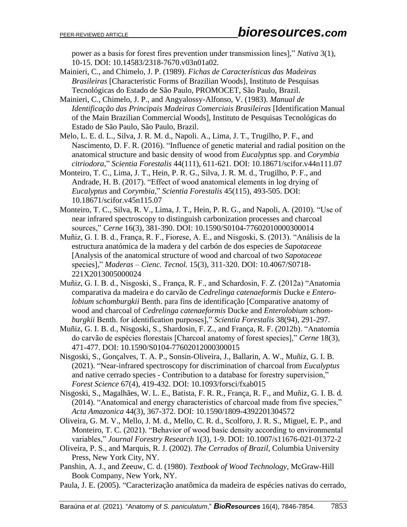power as a basis for forest fires prevention under transmission lines]," *Nativa* 3(1), 10-15. DOI: 10.14583/2318-7670.v03n01a02.

- Mainieri, C., and Chimelo, J. P. (1989). *Fichas de Características das Madeiras Brasileiras* [Characteristic Forms of Brazilian Woods], Instituto de Pesquisas Tecnológicas do Estado de São Paulo, PROMOCET, São Paulo, Brazil.
- Mainieri, C., Chimelo, J. P., and Angyalossy-Alfonso, V. (1983). *Manual de Identificação das Principais Madeiras Comerciais Brasileiras* [Identification Manual of the Main Brazilian Commercial Woods], Instituto de Pesquisas Tecnológicas do Estado de São Paulo, São Paulo, Brazil.
- Melo, L. E. d. L., Silva, J. R. M. d., Napoli. A., Lima, J. T., Trugilho, P. F., and Nascimento, D. F. R. (2016). "Influence of genetic material and radial position on the anatomical structure and basic density of wood from *Eucalyptus* spp. and *Corymbia citriodora*," *Scientia Forestalis* 44(111), 611-621. DOI: 10.18671/scifor.v44n111.07
- Monteiro, T. C., Lima, J. T., Hein, P. R. G., Silva, J. R. M. d., Trugilho, P. F., and Andrade, H. B. (2017). "Effect of wood anatomical elements in log drying of *Eucalyptus* and *Corymbia*," *Scientia For*e*stalis* 45(115), 493-505. DOI: 10.18671/scifor.v45n115.07
- Monteiro, T. C., Silva, R. V., Lima, J. T., Hein, P. R. G., and Napoli, A. (2010). "Use of near infrared spectroscopy to distinguish carbonization processes and charcoal sources," *Cerne* 16(3), 381-390. DOI: 10.1590/S0104-77602010000300014
- Muñiz, G. I. B. d., França, R. F., Fiorese, A. E., and Nisgoski, S. (2013). "Análisis de la estructura anatómica de la madera y del carbón de dos especies de *Sapotaceae*  [Analysis of the anatomical structure of wood and charcoal of two *Sapotaceae* species]," *Maderas – Cienc. Tecnol.* 15(3), 311-320. DOI: 10.4067/S0718- 221X2013005000024
- Muñiz, G. I. B. d., Nisgoski, S., França, R. F., and Schardosin, F. Z. (2012a) "Anatomia comparativa da madeira e do carvão de *Cedrelinga catenaeformis* Ducke e *Enterolobium schomburgkii* Benth. para fins de identificação [Comparative anatomy of wood and charcoal of *Cedrelinga catenaeformis* Ducke and *Enterolobium schomburgkii* Benth. for identification purposes]," *Scientia Forestalis* 38(94), 291-297.
- Muñiz, G. I. B. d., Nisgoski, S., Shardosin, F. Z., and França, R. F. (2012b). "Anatomia do carvão de espécies florestais [Charcoal anatomy of forest species]," *Cerne* 18(3), 471-477. DOI: 10.1590/S0104-77602012000300015
- Nisgoski, S., Gonçalves, T. A. P., Sonsin-Oliveira, J., Ballarin, A. W., Muñiz, G. I. B. (2021). "Near-infrared spectroscopy for discrimination of charcoal from *Eucalyptus* and native cerrado species - Contribution to a database for forestry supervision," *Forest Science* 67(4), 419-432. DOI: 10.1093/forsci/fxab015
- Nisgoski, S., Magalhães, W. L. E., Batista, F. R. R., França, R. F., and Muñiz, G. I. B. d. (2014). "Anatomical and energy characteristics of charcoal made from five species," *Acta Amaz*o*nica* 44(3), 367-372. DOI: 10.1590/1809-4392201304572
- Oliveira, G. M. V., Mello, J. M. d., Mello, C. R. d., Scolforo, J. R. S., Miguel, E. P., and Monteiro, T. C. (2021). "Behavior of wood basic density according to environmental variables," *Journal Forestry Research* 1(3), 1-9. DOI: 10.1007/s11676-021-01372-2
- Oliveira, P. S., and Marquis, R. J. (2002). *The Cerrados of Brazil*, Columbia University Press, New York City, NY.
- Panshin, A. J., and Zeeuw, C. d. (1980). *Textbook of Wood Technology*, McGraw-Hill Book Company, New York, NY.
- Paula, J. E. (2005). "Caracterização anatômica da madeira de espécies nativas do cerrado,